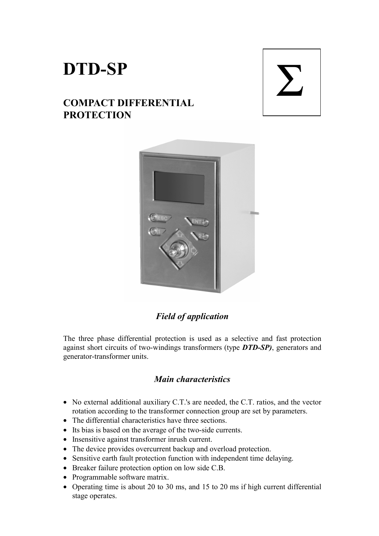# **DTD-SP**

# **COMPACT DIFFERENTIAL PROTECTION**

# Σ



# *Field of application*

The three phase differential protection is used as a selective and fast protection against short circuits of two-windings transformers (type *DTD-SP)*, generators and generator-transformer units.

## *Main characteristics*

- No external additional auxiliary C.T.'s are needed, the C.T. ratios, and the vector rotation according to the transformer connection group are set by parameters.
- The differential characteristics have three sections.
- Its bias is based on the average of the two-side currents.
- Insensitive against transformer inrush current.
- The device provides overcurrent backup and overload protection.
- Sensitive earth fault protection function with independent time delaying.
- Breaker failure protection option on low side C.B.
- Programmable software matrix.
- Operating time is about 20 to 30 ms, and 15 to 20 ms if high current differential stage operates.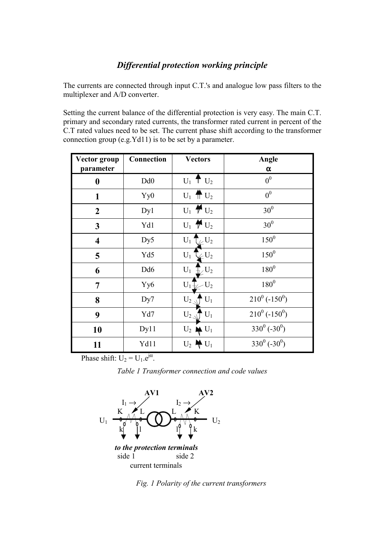### *Differential protection working principle*

The currents are connected through input C.T.'s and analogue low pass filters to the multiplexer and A/D converter.

Setting the current balance of the differential protection is very easy. The main C.T. primary and secondary rated currents, the transformer rated current in percent of the C.T rated values need to be set. The current phase shift according to the transformer connection group (e.g.Yd11) is to be set by a parameter.

| Vector group<br>parameter | Connection      | <b>Vectors</b>                                      | Angle<br>α                   |
|---------------------------|-----------------|-----------------------------------------------------|------------------------------|
| 0                         | Dd <sub>0</sub> | $U_1$ <sup>†</sup> $U_2$                            | 0 <sup>0</sup>               |
| $\mathbf{1}$              | Yy0             | $U_1$ $\oplus$ $U_2$                                | 0 <sup>0</sup>               |
| $\boldsymbol{2}$          | Dy1             | $U_1 \nightharpoonup U_2$                           | 30 <sup>0</sup>              |
| 3                         | Yd1             | $U_1 \uparrow U_2$                                  | 30 <sup>0</sup>              |
| $\overline{\mathbf{4}}$   | Dy5             | $U_1$ $\tau$ <sub><math>\swarrow</math></sub> $U_2$ | $150^{0}$                    |
| 5                         | Yd5             | $\mathbb{Z}^{U_2}$<br>$U_1$ <sup>-</sup>            | $150^{0}$                    |
| 6                         | Dd <sub>6</sub> | $\overline{h}$ , $\overline{U_2}$<br>$U_1$          | $180^{0}$                    |
| 7                         | Yy <sub>6</sub> | $-U_2$<br>$U_1$                                     | $180^0$                      |
| 8                         | Dy7             | $U_2$<br>$U_1$                                      | $210^0$ (-150 <sup>0</sup> ) |
| 9                         | Yd7             | $U_1$<br>$U_{2\,\preceq}$                           | $210^0$ (-150 <sup>0</sup> ) |
| 10                        | Dy11            | $U_2 \oplus U_1$                                    | $330^0$ (-30 <sup>0</sup> )  |
| 11                        | Yd11            | $U_2 \oplus U_1$                                    | $330^0$ (-30 <sup>0</sup> )  |

Phase shift:  $U_2 = U_1.e^{j\alpha}$ .

*Table 1 Transformer connection and code values* 



*Fig. 1 Polarity of the current transformers*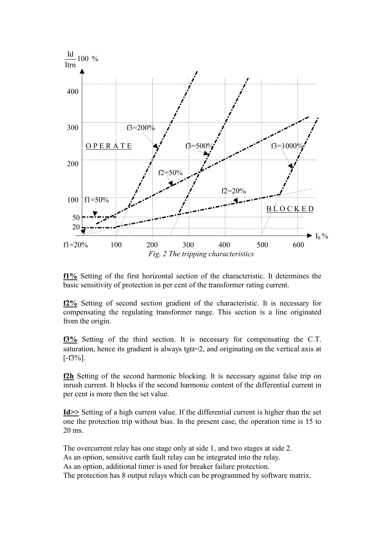

**f1%** Setting of the first horizontal section of the characteristic. It determines the basic sensitivity of protection in per cent of the transformer rating current.

**f2%** Setting of second section gradient of the characteristic. It is necessary for compensating the regulating transformer range. This section is a line originated from the origin.

**f3%** Setting of the third section. It is necessary for compensating the C.T. saturation, hence its gradient is always tg $\alpha=2$ , and originating on the vertical axis at  $[-f3\%]$ .

**f2h** Setting of the second harmonic blocking. It is necessary against false trip on inrush current. It blocks if the second harmonic content of the differential current in per cent is more then the set value.

**Id>>** Setting of a high current value. If the differential current is higher than the set one the protection trip without bias. In the present case, the operation time is 15 to 20 ms.

The overcurrent relay has one stage only at side 1, and two stages at side 2. As an option, sensitive earth fault relay can be integrated into the relay. As an option, additional timer is used for breaker failure protection. The protection has 8 output relays which can be programmed by software matrix.